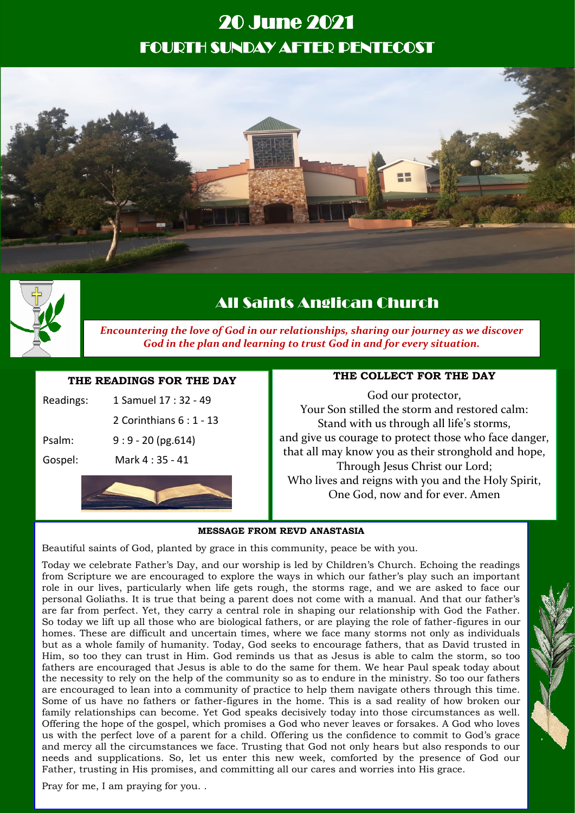# 20 June 2021 FOURTH SUNDAY AFTER PENTECOST





# All Saints Anglican Church

*Encountering the love of God in our relationships, sharing our journey as we discover God in the plan and learning to trust God in and for every situation.*

# **THE READINGS FOR THE DAY**

| Gospel:   | Mark 4:35 - 41           |
|-----------|--------------------------|
| Psalm:    | $9:9 - 20$ (pg.614)      |
|           | 2 Corinthians 6 : 1 - 13 |
| Readings: | 1 Samuel 17 : 32 - 49    |

## **THE COLLECT FOR THE DAY**

God our protector, Your Son stilled the storm and restored calm: Stand with us through all life's storms, and give us courage to protect those who face danger, that all may know you as their stronghold and hope, Through Jesus Christ our Lord; Who lives and reigns with you and the Holy Spirit, One God, now and for ever. Amen

#### **MESSAGE FROM REVD ANASTASIA**

Beautiful saints of God, planted by grace in this community, peace be with you.

Today we celebrate Father's Day, and our worship is led by Children's Church. Echoing the readings from Scripture we are encouraged to explore the ways in which our father's play such an important role in our lives, particularly when life gets rough, the storms rage, and we are asked to face our personal Goliaths. It is true that being a parent does not come with a manual. And that our father's are far from perfect. Yet, they carry a central role in shaping our relationship with God the Father. So today we lift up all those who are biological fathers, or are playing the role of father-figures in our homes. These are difficult and uncertain times, where we face many storms not only as individuals but as a whole family of humanity. Today, God seeks to encourage fathers, that as David trusted in Him, so too they can trust in Him. God reminds us that as Jesus is able to calm the storm, so too fathers are encouraged that Jesus is able to do the same for them. We hear Paul speak today about the necessity to rely on the help of the community so as to endure in the ministry. So too our fathers are encouraged to lean into a community of practice to help them navigate others through this time. Some of us have no fathers or father-figures in the home. This is a sad reality of how broken our family relationships can become. Yet God speaks decisively today into those circumstances as well. Offering the hope of the gospel, which promises a God who never leaves or forsakes. A God who loves us with the perfect love of a parent for a child. Offering us the confidence to commit to God's grace and mercy all the circumstances we face. Trusting that God not only hears but also responds to our needs and supplications. So, let us enter this new week, comforted by the presence of God our Father, trusting in His promises, and committing all our cares and worries into His grace.

Pray for me, I am praying for you. .